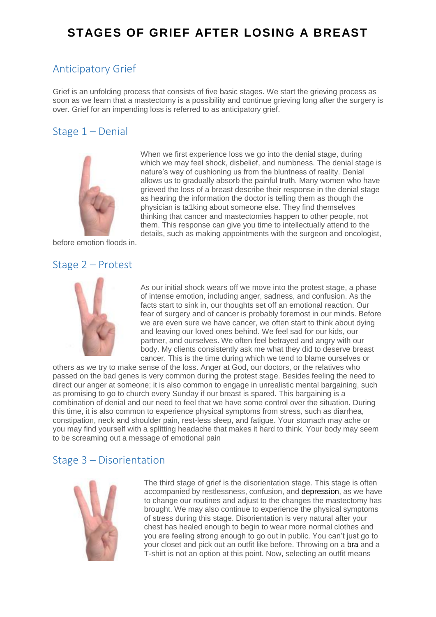# **STAGES OF GRIEF AFTER LOSING A BREAST**

### Anticipatory Grief

Grief is an unfolding process that consists of five basic stages. We start the grieving process as soon as we learn that a mastectomy is a possibility and continue grieving long after the surgery is over. Grief for an impending loss is referred to as anticipatory grief.

#### Stage 1 – Denial



before emotion floods in.

#### Stage 2 – Protest



When we first experience loss we go into the denial stage, during which we may feel shock, disbelief, and numbness. The denial stage is nature's way of cushioning us from the bluntness of reality. Denial allows us to gradually absorb the painful truth. Many women who have grieved the loss of a breast describe their response in the denial stage as hearing the information the doctor is telling them as though the physician is ta1king about someone else. They find themselves thinking that cancer and mastectomies happen to other people, not them. This response can give you time to intellectually attend to the details, such as making appointments with the surgeon and oncologist,

As our initial shock wears off we move into the protest stage, a phase of intense emotion, including anger, sadness, and confusion. As the facts start to sink in, our thoughts set off an emotional reaction. Our fear of surgery and of cancer is probably foremost in our minds. Before we are even sure we have cancer, we often start to think about dying and leaving our loved ones behind. We feel sad for our kids, our partner, and ourselves. We often feel betrayed and angry with our body. My clients consistently ask me what they did to deserve breast cancer. This is the time during which we tend to blame ourselves or

others as we try to make sense of the loss. Anger at God, our doctors, or the relatives who passed on the bad genes is very common during the protest stage. Besides feeling the need to direct our anger at someone; it is also common to engage in unrealistic mental bargaining, such as promising to go to church every Sunday if our breast is spared. This bargaining is a combination of denial and our need to feel that we have some control over the situation. During this time, it is also common to experience physical symptoms from stress, such as diarrhea, constipation, neck and shoulder pain, rest-less sleep, and fatigue. Your stomach may ache or you may find yourself with a splitting headache that makes it hard to think. Your body may seem to be screaming out a message of emotional pain

#### Stage 3 – Disorientation



The third stage of grief is the disorientation stage. This stage is often accompanied by restlessness, confusion, and [depression,](http://www.amoena.us/Club-Amoena/Daily-Living/Dodging-Depression) as we have to change our routines and adjust to the changes the mastectomy has brought. We may also continue to experience the physical symptoms of stress during this stage. Disorientation is very natural after your chest has healed enough to begin to wear more normal clothes and you are feeling strong enough to go out in public. You can't just go to your closet and pick out an outfit like before. Throwing on a [bra](http://www.amoena.us/products/pocketed-lingerie) and a T-shirt is not an option at this point. Now, selecting an outfit means